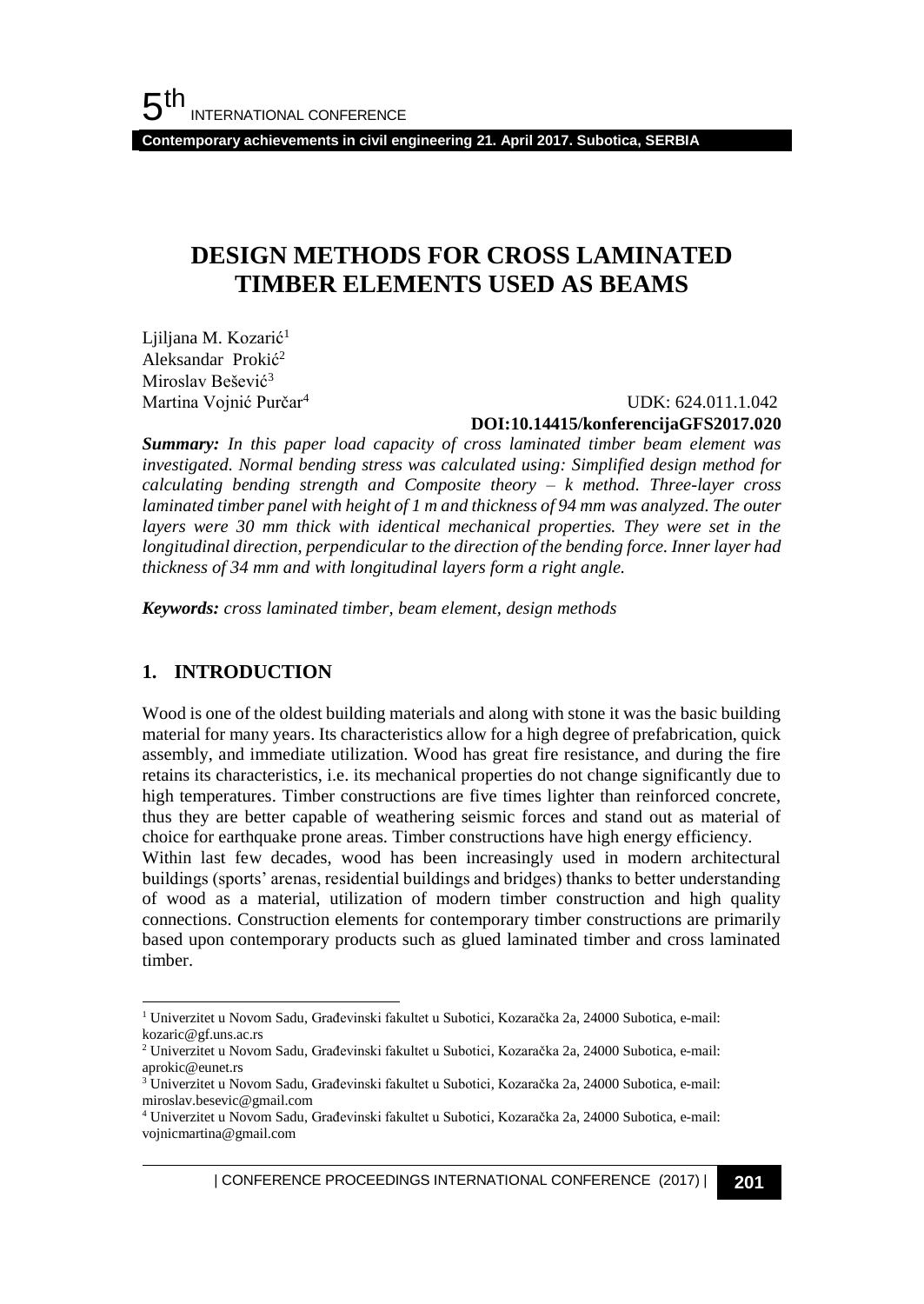**Contemporary achievements in civil engineering 21. April 2017. Subotica, SERBIA**

# **DESIGN METHODS FOR CROSS LAMINATED TIMBER ELEMENTS USED AS BEAMS**

Ljiljana M. Kozarić<sup>1</sup> Aleksandar Prokić 2 Miroslav Bešević<sup>3</sup> Martina Vojnić Purčar<sup>4</sup>

 UDK: 624.011.1.042 **DOI:10.14415/konferencijaGFS2017.020**

*Summary: In this paper load capacity of cross laminated timber beam element was investigated. Normal bending stress was calculated using: Simplified design method for calculating bending strength and Composite theory – k method. Three-layer cross laminated timber panel with height of 1 m and thickness of 94 mm was analyzed. The outer layers were 30 mm thick with identical mechanical properties. They were set in the longitudinal direction, perpendicular to the direction of the bending force. Inner layer had thickness of 34 mm and with longitudinal layers form a right angle.*

*Keywords: cross laminated timber, beam element, design methods*

## **1. INTRODUCTION**

l

Wood is one of the oldest building materials and along with stone it was the basic building material for many years. Its characteristics allow for a high degree of prefabrication, quick assembly, and immediate utilization. Wood has great fire resistance, and during the fire retains its characteristics, i.e. its mechanical properties do not change significantly due to high temperatures. Timber constructions are five times lighter than reinforced concrete, thus they are better capable of weathering seismic forces and stand out as material of choice for earthquake prone areas. Timber constructions have high energy efficiency.

Within last few decades, wood has been increasingly used in modern architectural buildings (sports' arenas, residential buildings and bridges) thanks to better understanding of wood as a material, utilization of modern timber construction and high quality connections. Construction elements for contemporary timber constructions are primarily based upon contemporary products such as glued laminated timber and cross laminated timber.

| CONFERENCE PROCEEDINGS INTERNATIONAL CONFERENCE (2017) <sup>|</sup>**201**

<sup>1</sup> Univerzitet u Novom Sadu, Građevinski fakultet u Subotici, Kozaračka 2a, 24000 Subotica, e-mail: kozaric@gf.uns.ac.rs

 $^2$ Univerzitet u Novom Sadu, Građevinski fakultet u Subotici, Kozaračka 2a, 24000 Subotica, e-mail: aprokic@eunet.rs

<sup>&</sup>lt;sup>3</sup> Univerzitet u Novom Sadu, Građevinski fakultet u Subotici, Kozaračka 2a, 24000 Subotica, e-mail: miroslav.besevic@gmail.com

<sup>4</sup> Univerzitet u Novom Sadu, Građevinski fakultet u Subotici, Kozaračka 2a, 24000 Subotica, e-mail: vojnicmartina@gmail.com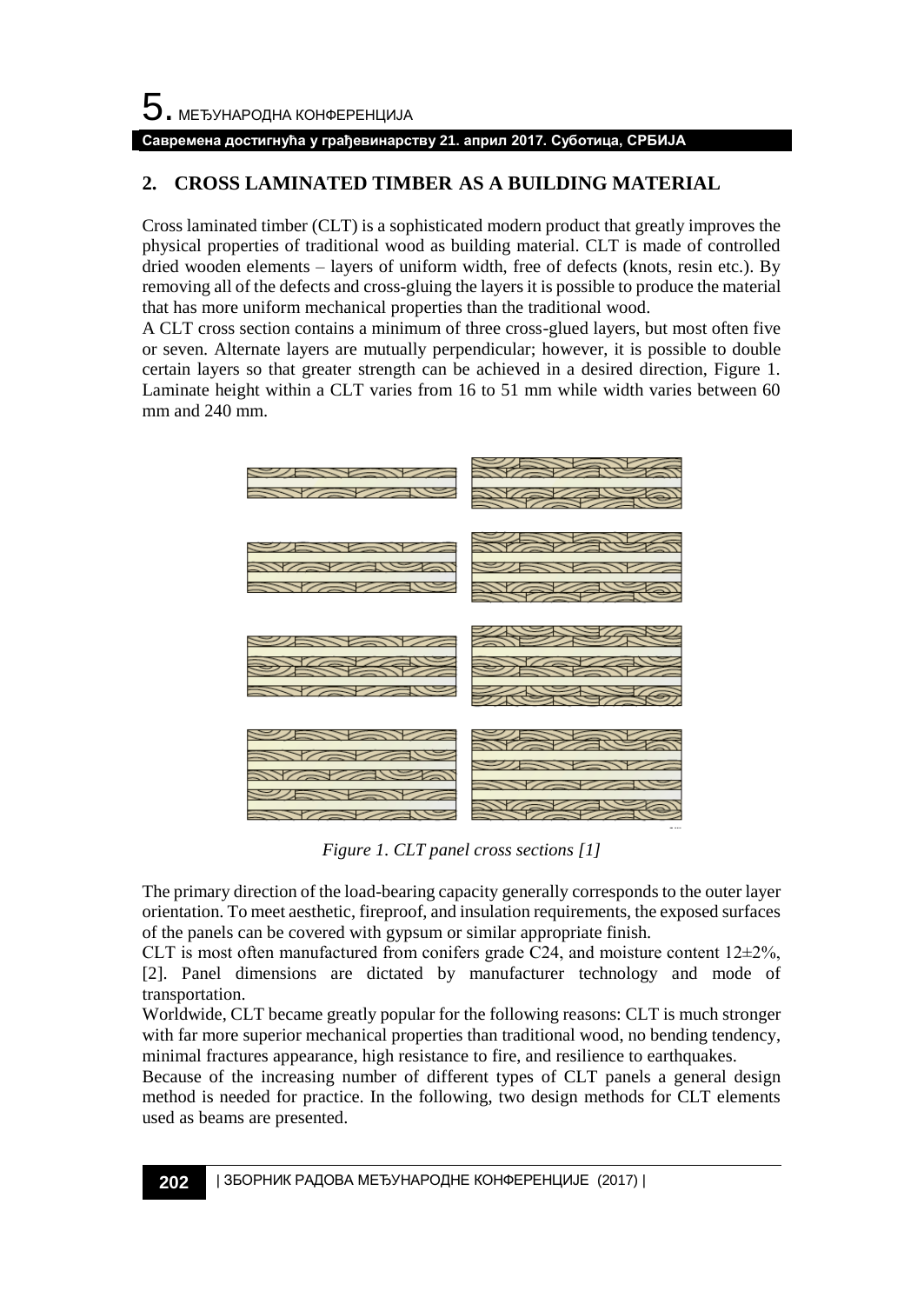### **Савремена достигнућа у грађевинарству 21. април 2017. Суботица, СРБИЈА**

# **2. CROSS LAMINATED TIMBER AS A BUILDING MATERIAL**

Cross laminated timber (CLT) is a sophisticated modern product that greatly improves the physical properties of traditional wood as building material. CLT is made of controlled dried wooden elements – layers of uniform width, free of defects (knots, resin etc.). By removing all of the defects and cross-gluing the layers it is possible to produce the material that has more uniform mechanical properties than the traditional wood.

A CLT cross section contains a minimum of three cross-glued layers, but most often five or seven. Alternate layers are mutually perpendicular; however, it is possible to double certain layers so that greater strength can be achieved in a desired direction, Figure 1. Laminate height within a CLT varies from 16 to 51 mm while width varies between 60 mm and 240 mm.



*Figure 1. CLT panel cross sections [1]*

The primary direction of the load-bearing capacity generally corresponds to the outer layer orientation. To meet aesthetic, fireproof, and insulation requirements, the exposed surfaces of the panels can be covered with gypsum or similar appropriate finish.

CLT is most often manufactured from conifers grade C24, and moisture content  $12\pm2\%$ , [2]. Panel dimensions are dictated by manufacturer technology and mode of transportation.

Worldwide, CLT became greatly popular for the following reasons: CLT is much stronger with far more superior mechanical properties than traditional wood, no bending tendency, minimal fractures appearance, high resistance to fire, and resilience to earthquakes.

Because of the increasing number of different types of CLT panels a general design method is needed for practice. In the following, two design methods for CLT elements used as beams are presented.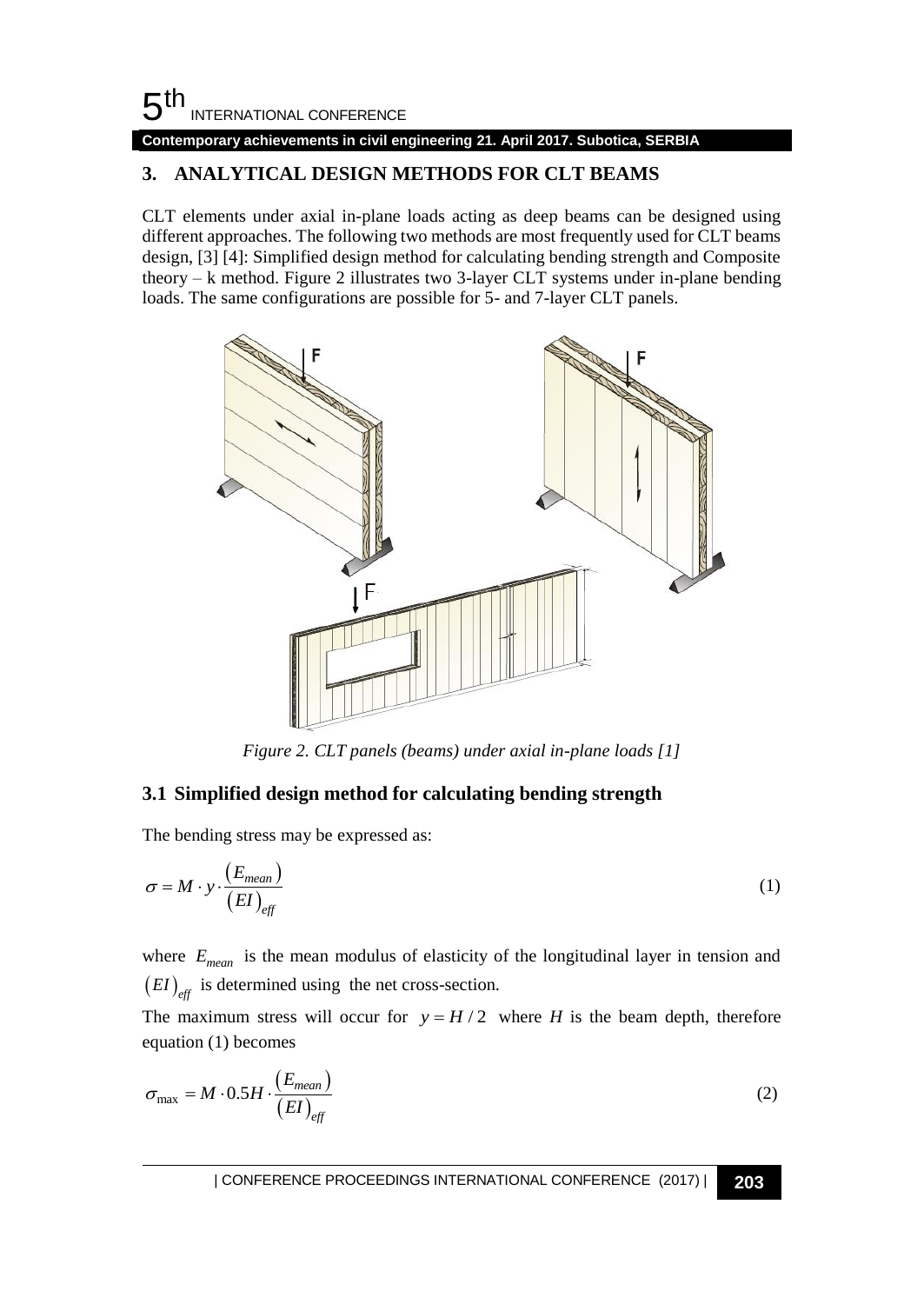# $5<sup>th</sup>$ INTERNATIONAL CONFERENCE

## **Contemporary achievements in civil engineering 21. April 2017. Subotica, SERBIA**

# **3. ANALYTICAL DESIGN METHODS FOR CLT BEAMS**

CLT elements under axial in-plane loads acting as deep beams can be designed using different approaches. The following two methods are most frequently used for CLT beams design, [3] [4]: Simplified design method for calculating bending strength and Composite theory – k method. Figure 2 illustrates two 3-layer CLT systems under in-plane bending loads. The same configurations are possible for 5- and 7-layer CLT panels.



*Figure 2. CLT panels (beams) under axial in-plane loads [1]*

## **3.1 Simplified design method for calculating bending strength**

The bending stress may be expressed as:

$$
\sigma = M \cdot y \cdot \frac{(E_{mean})}{(EI)_{eff}} \tag{1}
$$

where  $E_{mean}$  is the mean modulus of elasticity of the longitudinal layer in tension and  $(EI)_{\text{eff}}$  is determined using the net cross-section.

The maximum stress will occur for  $y = H/2$  where *H* is the beam depth, therefore equation (1) becomes

$$
\sigma_{\text{max}} = M \cdot 0.5H \cdot \frac{(E_{mean})}{(EI)_{\text{eff}}}
$$
\n(2)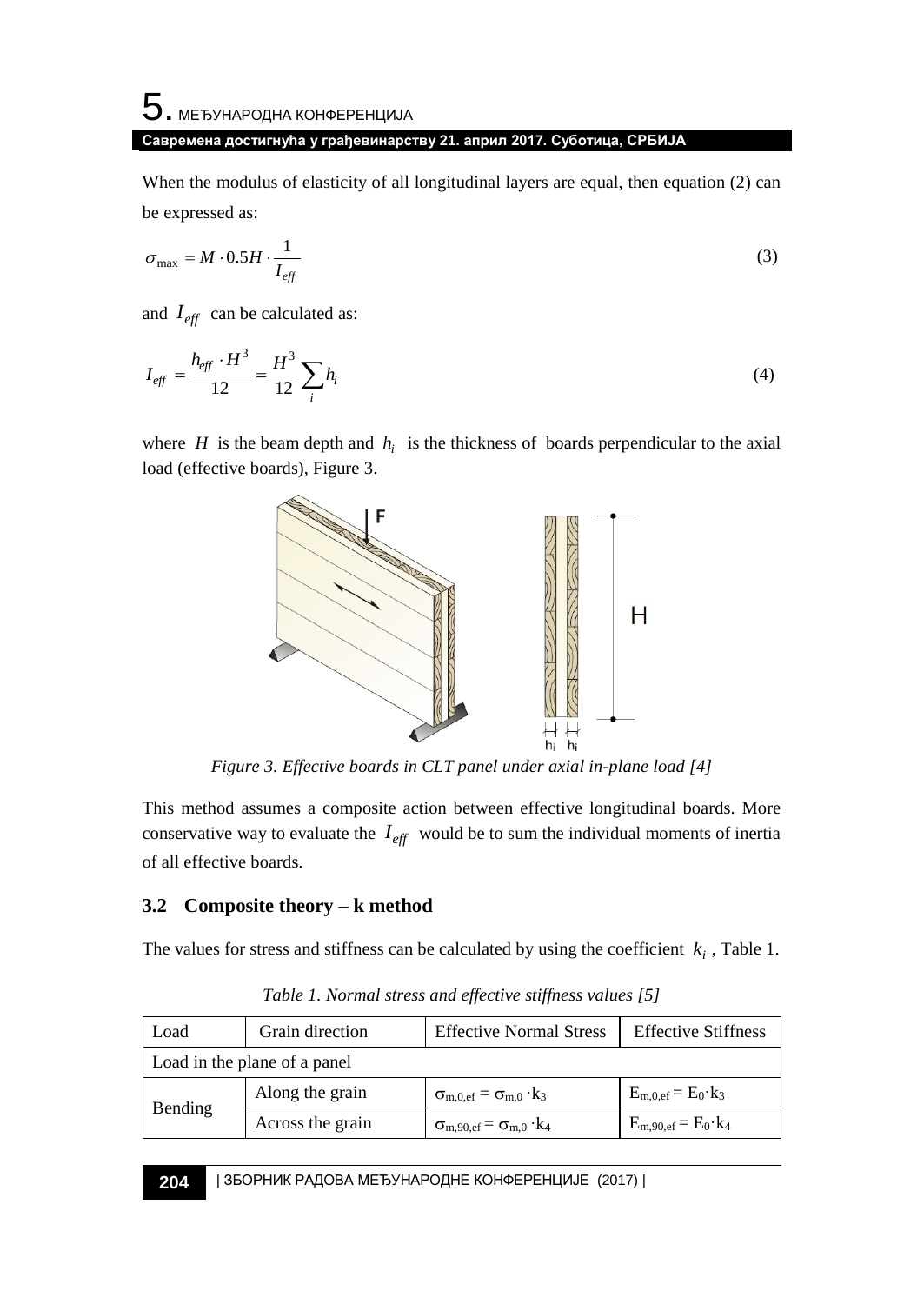# ${\bf 5}$ . међународна конференција **Савремена достигнућа у грађевинарству 21. април 2017. Суботица, СРБИЈА**

When the modulus of elasticity of all longitudinal layers are equal, then equation (2) can be expressed as:

$$
\sigma_{\text{max}} = M \cdot 0.5H \cdot \frac{1}{I_{\text{eff}}} \tag{3}
$$

and  $I_{\text{eff}}$  can be calculated as:

$$
I_{\text{eff}} = \frac{h_{\text{eff}} \cdot H^3}{12} = \frac{H^3}{12} \sum_{i} h_i
$$
 (4)

where  $H$  is the beam depth and  $h_i$  is the thickness of boards perpendicular to the axial load (effective boards), Figure 3.



*Figure 3. Effective boards in CLT panel under axial in-plane load [4]*

This method assumes a composite action between effective longitudinal boards. More conservative way to evaluate the  $I_{\text{eff}}$  would be to sum the individual moments of inertia of all effective boards.

# **3.2****Composite theory – k method**

The values for stress and stiffness can be calculated by using the coefficient  $k_i$ , Table 1.

| Load                         | Grain direction  | <b>Effective Normal Stress</b>                      | <b>Effective Stiffness</b>    |
|------------------------------|------------------|-----------------------------------------------------|-------------------------------|
| Load in the plane of a panel |                  |                                                     |                               |
| Bending                      | Along the grain  | $\sigma_{m,0,ef} = \sigma_{m,0} \cdot k_3$          | $E_{m,0,ef} = E_0 \cdot k_3$  |
|                              | Across the grain | $\sigma_{\rm m,90,ef} = \sigma_{\rm m,0} \cdot k_4$ | $E_{m,90,ef} = E_0 \cdot k_4$ |

*Table 1. Normal stress and effective stiffness values [5]*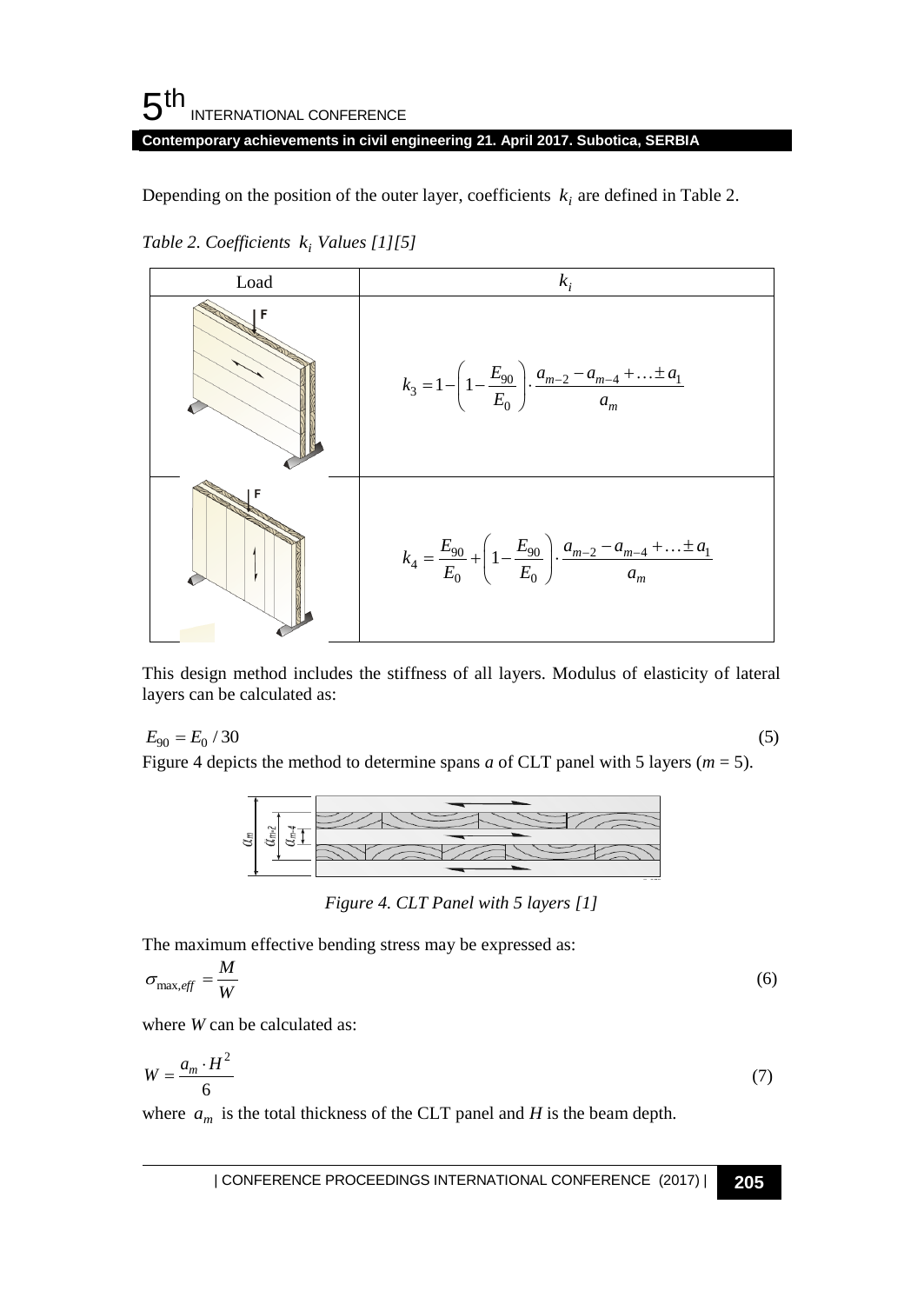#### 5 th INTERNATIONAL CONFERENCE **Contemporary achievements in civil engineering 21. April 2017. Subotica, SERBIA**

Depending on the position of the outer layer, coefficients  $k_i$  are defined in Table 2.

*Table 2. Coefficients i k Values [1][5]*



This design method includes the stiffness of all layers. Modulus of elasticity of lateral layers can be calculated as:<br>  $E_{90} = E_0 / 30$  (5)<br>
Einves 4 derived by wethod to determine were a of CLT negatively 5 layers (*m*, layers can be calculated as:

$$
E_{90} = E_0 / 30
$$
 (5)

Figure 4 depicts the method to determine spans *a* of CLT panel with 5 layers ( $m = 5$ ).



*Figure 4. CLT Panel with 5 layers [1]*

The maximum effective bending stress may be expressed as:

$$
\sigma_{\text{max,eff}} = \frac{M}{W} \tag{6}
$$

where *W* can be calculated as:

$$
W = \frac{a_m \cdot H^2}{6} \tag{7}
$$

where  $a_m$  is the total thickness of the CLT panel and *H* is the beam depth.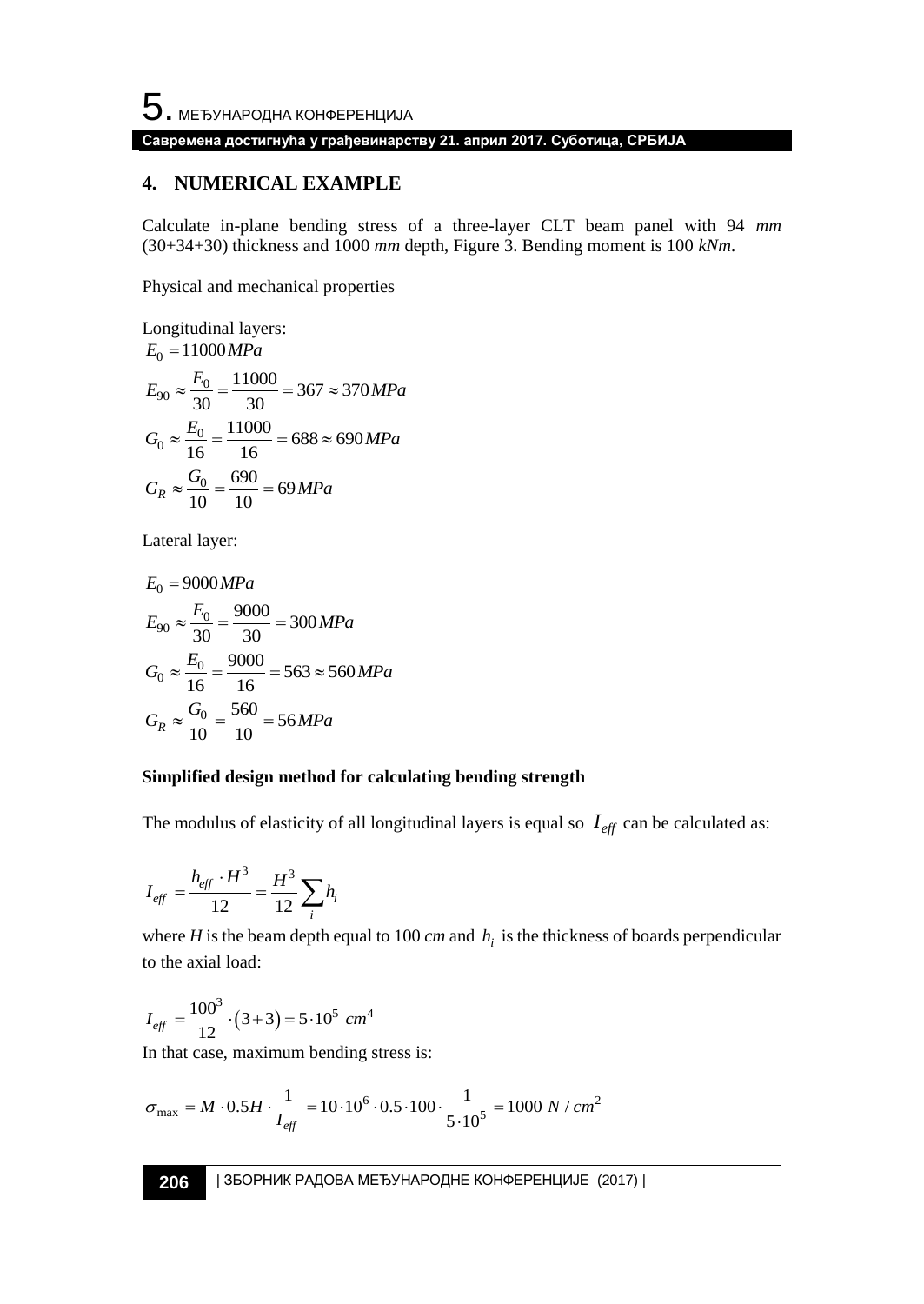# **Савремена достигнућа у грађевинарству 21. април 2017. Суботица, СРБИЈА**

### **4. NUMERICAL EXAMPLE**

Calculate in-plane bending stress of a three-layer CLT beam panel with 94 *mm* (30+34+30) thickness and 1000 *mm* depth, Figure 3. Bending moment is 100 *kNm*.

Physical and mechanical properties

Longitudinal layers:  
\n
$$
E_0 = 11000 MPa
$$
  
\n $E_{90} \approx \frac{E_0}{30} = \frac{11000}{30} = 367 \approx 370 MPa$   
\n $G_0 \approx \frac{E_0}{16} = \frac{11000}{16} = 688 \approx 690 MPa$   
\n $G_R \approx \frac{G_0}{10} = \frac{690}{10} = 69 MPa$ 

Lateral layer:

$$
E_0 = 9000 MPa
$$
  
\n
$$
E_{90} \approx \frac{E_0}{30} = \frac{9000}{30} = 300 MPa
$$
  
\n
$$
G_0 \approx \frac{E_0}{16} = \frac{9000}{16} = 563 \approx 560 MPa
$$
  
\n
$$
G_R \approx \frac{G_0}{10} = \frac{560}{10} = 56 MPa
$$

### **Simplified design method for calculating bending strength**

The modulus of elasticity of all longitudinal layers is equal so  $I_{\text{eff}}$  can be calculated as:

$$
I_{\text{eff}} = \frac{h_{\text{eff}} \cdot H^3}{12} = \frac{H^3}{12} \sum_i h_i
$$

where *H* is the beam depth equal to 100 *cm* and  $h_i$  is the thickness of boards perpendicular to the axial load:

$$
I_{\text{eff}} = \frac{100^3}{12} \cdot (3+3) = 5 \cdot 10^5 \text{ cm}^4
$$

In that case, maximum bending stress is:  
\n
$$
\sigma_{\text{max}} = M \cdot 0.5H \cdot \frac{1}{I_{\text{eff}}} = 10 \cdot 10^6 \cdot 0.5 \cdot 100 \cdot \frac{1}{5 \cdot 10^5} = 1000 \text{ N} / \text{cm}^2
$$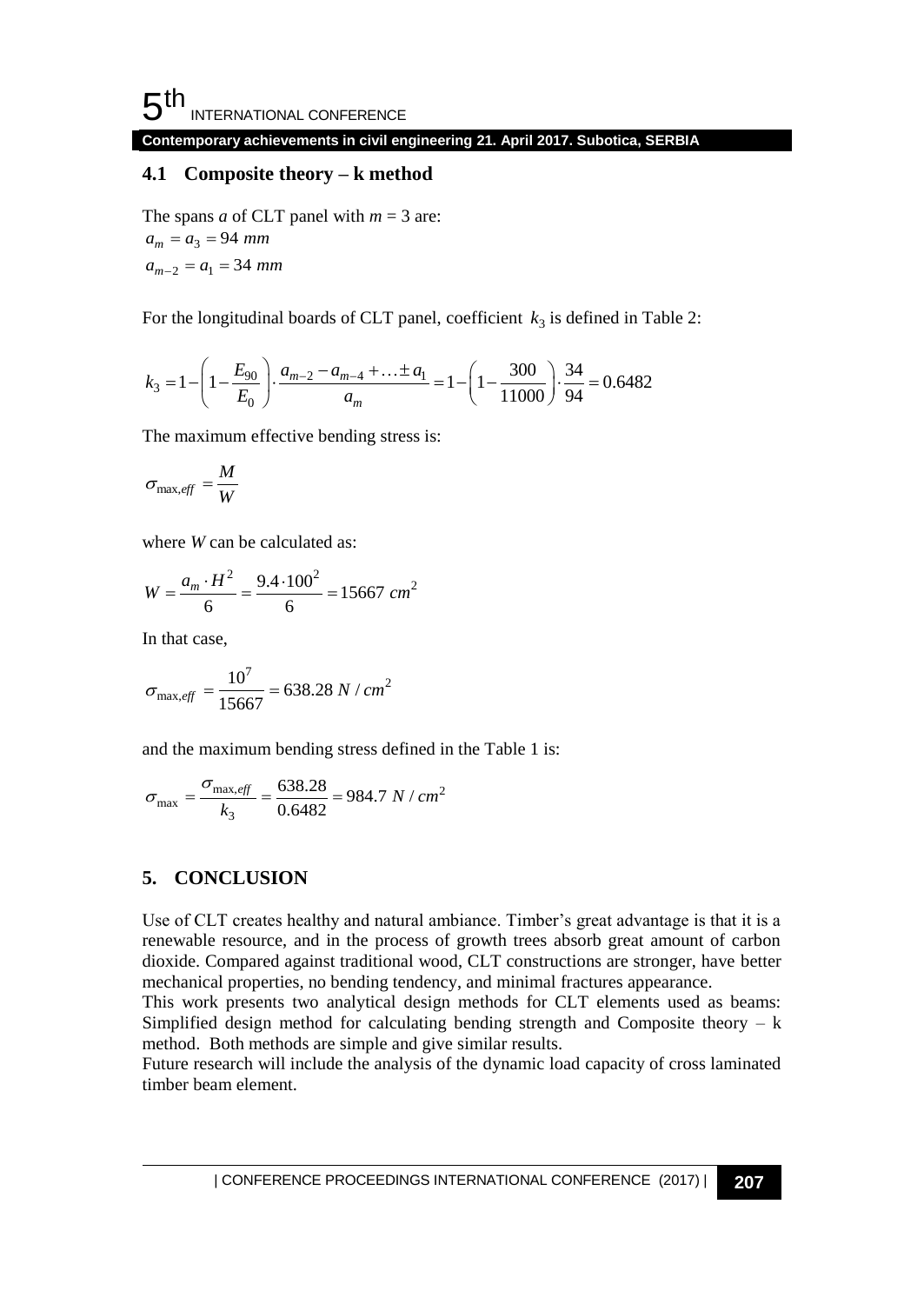**Contemporary achievements in civil engineering 21. April 2017. Subotica, SERBIA**

## **4.1****Composite theory – k method**

The spans *a* of CLT panel with  $m = 3$  are:  $a_m = a_3 = 94$  mm  $a_{m-2} = a_1 = 34$  mm

For the longitudinal boards of CLT panel, coefficient 
$$
k_3
$$
 is defined in Table 2:  
\n
$$
k_3 = 1 - \left(1 - \frac{E_{90}}{E_0}\right) \cdot \frac{a_{m-2} - a_{m-4} + \dots \pm a_1}{a_m} = 1 - \left(1 - \frac{300}{11000}\right) \cdot \frac{34}{94} = 0.6482
$$

The maximum effective bending stress is:

$$
\sigma_{\max, \text{eff}} = \frac{M}{W}
$$

where *W* can be calculated as:

$$
W = \frac{a_m \cdot H^2}{6} = \frac{9.4 \cdot 100^2}{6} = 15667 \text{ cm}^2
$$

In that case,

$$
\sigma_{\text{max,eff}} = \frac{10^7}{15667} = 638.28 \text{ N} / \text{cm}^2
$$

and the maximum bending stress defined in the Table 1 is:

$$
\sigma_{\text{max}} = \frac{\sigma_{\text{max,eff}}}{k_3} = \frac{638.28}{0.6482} = 984.7 \text{ N} / \text{cm}^2
$$

# **5. CONCLUSION**

Use of CLT creates healthy and natural ambiance. Timber's great advantage is that it is a renewable resource, and in the process of growth trees absorb great amount of carbon dioxide. Compared against traditional wood, CLT constructions are stronger, have better mechanical properties, no bending tendency, and minimal fractures appearance.

This work presents two analytical design methods for CLT elements used as beams: Simplified design method for calculating bending strength and Composite theory  $- k$ method. Both methods are simple and give similar results.

Future research will include the analysis of the dynamic load capacity of cross laminated timber beam element.